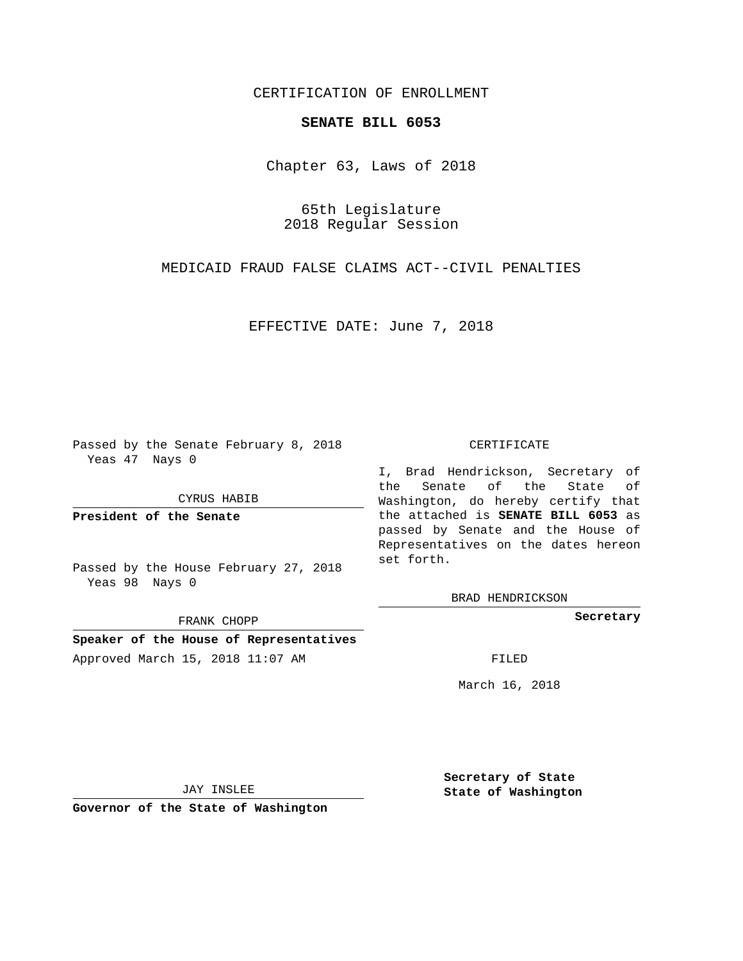## CERTIFICATION OF ENROLLMENT

## **SENATE BILL 6053**

Chapter 63, Laws of 2018

65th Legislature 2018 Regular Session

MEDICAID FRAUD FALSE CLAIMS ACT--CIVIL PENALTIES

EFFECTIVE DATE: June 7, 2018

Passed by the Senate February 8, 2018 Yeas 47 Nays 0

CYRUS HABIB

**President of the Senate**

Passed by the House February 27, 2018 Yeas 98 Nays 0

FRANK CHOPP

**Speaker of the House of Representatives** Approved March 15, 2018 11:07 AM FILED

## CERTIFICATE

I, Brad Hendrickson, Secretary of the Senate of the State of Washington, do hereby certify that the attached is **SENATE BILL 6053** as passed by Senate and the House of Representatives on the dates hereon set forth.

BRAD HENDRICKSON

**Secretary**

March 16, 2018

JAY INSLEE

**Governor of the State of Washington**

**Secretary of State State of Washington**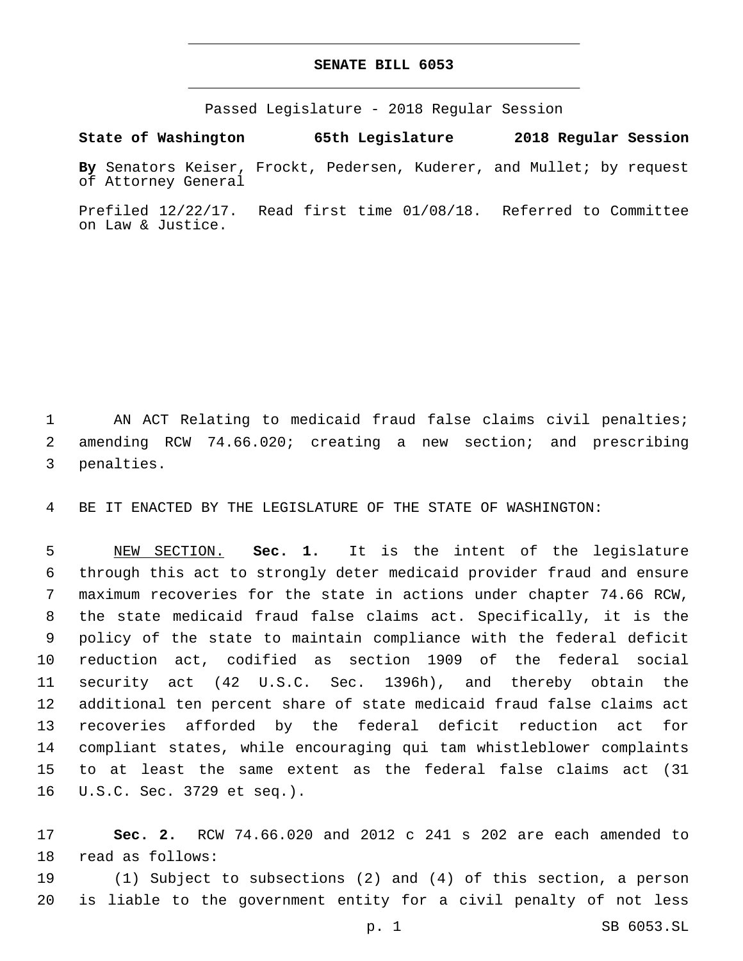## **SENATE BILL 6053**

Passed Legislature - 2018 Regular Session

**State of Washington 65th Legislature 2018 Regular Session**

**By** Senators Keiser, Frockt, Pedersen, Kuderer, and Mullet; by request of Attorney General

Prefiled 12/22/17. Read first time 01/08/18. Referred to Committee on Law & Justice.

 AN ACT Relating to medicaid fraud false claims civil penalties; amending RCW 74.66.020; creating a new section; and prescribing 3 penalties.

BE IT ENACTED BY THE LEGISLATURE OF THE STATE OF WASHINGTON:

 NEW SECTION. **Sec. 1.** It is the intent of the legislature through this act to strongly deter medicaid provider fraud and ensure maximum recoveries for the state in actions under chapter 74.66 RCW, the state medicaid fraud false claims act. Specifically, it is the policy of the state to maintain compliance with the federal deficit reduction act, codified as section 1909 of the federal social security act (42 U.S.C. Sec. 1396h), and thereby obtain the additional ten percent share of state medicaid fraud false claims act recoveries afforded by the federal deficit reduction act for compliant states, while encouraging qui tam whistleblower complaints to at least the same extent as the federal false claims act (31 U.S.C. Sec. 3729 et seq.).

 **Sec. 2.** RCW 74.66.020 and 2012 c 241 s 202 are each amended to 18 read as follows:

 (1) Subject to subsections (2) and (4) of this section, a person is liable to the government entity for a civil penalty of not less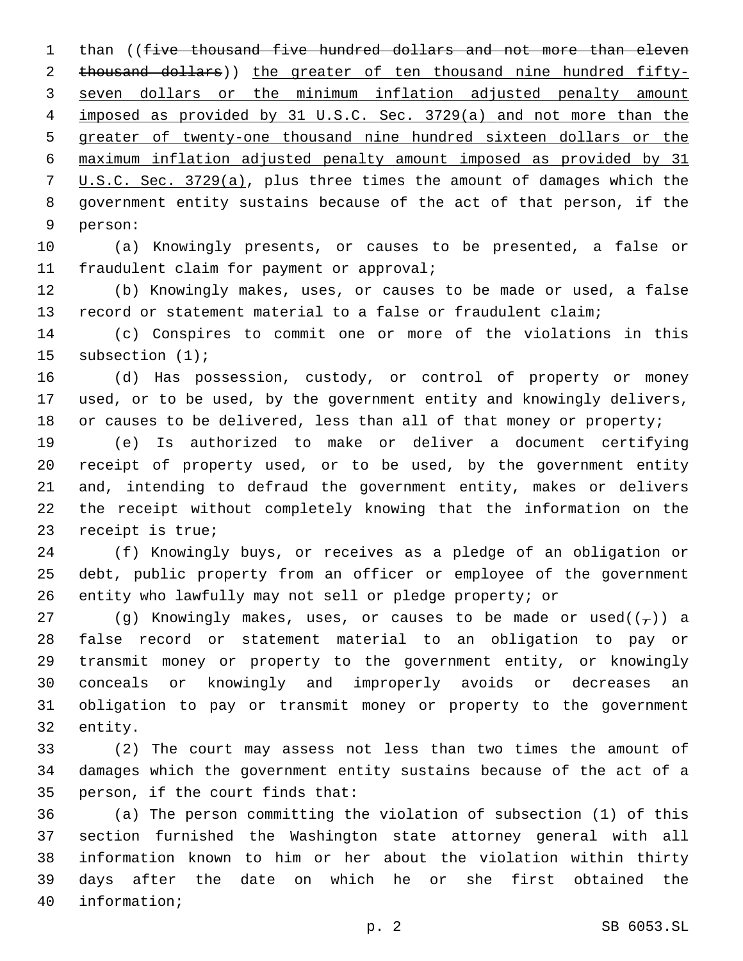1 than ((five thousand five hundred dollars and not more than eleven thousand dollars)) the greater of ten thousand nine hundred fifty- seven dollars or the minimum inflation adjusted penalty amount imposed as provided by 31 U.S.C. Sec. 3729(a) and not more than the greater of twenty-one thousand nine hundred sixteen dollars or the maximum inflation adjusted penalty amount imposed as provided by 31 U.S.C. Sec. 3729(a), plus three times the amount of damages which the government entity sustains because of the act of that person, if the 9 person:

 (a) Knowingly presents, or causes to be presented, a false or 11 fraudulent claim for payment or approval;

 (b) Knowingly makes, uses, or causes to be made or used, a false record or statement material to a false or fraudulent claim;

 (c) Conspires to commit one or more of the violations in this 15 subsection (1);

 (d) Has possession, custody, or control of property or money used, or to be used, by the government entity and knowingly delivers, 18 or causes to be delivered, less than all of that money or property;

 (e) Is authorized to make or deliver a document certifying receipt of property used, or to be used, by the government entity and, intending to defraud the government entity, makes or delivers the receipt without completely knowing that the information on the 23 receipt is true;

 (f) Knowingly buys, or receives as a pledge of an obligation or debt, public property from an officer or employee of the government entity who lawfully may not sell or pledge property; or

27 (g) Knowingly makes, uses, or causes to be made or used( $(\tau)$ ) a false record or statement material to an obligation to pay or transmit money or property to the government entity, or knowingly conceals or knowingly and improperly avoids or decreases an obligation to pay or transmit money or property to the government 32 entity.

 (2) The court may assess not less than two times the amount of damages which the government entity sustains because of the act of a 35 person, if the court finds that:

 (a) The person committing the violation of subsection (1) of this section furnished the Washington state attorney general with all information known to him or her about the violation within thirty days after the date on which he or she first obtained the 40 information;